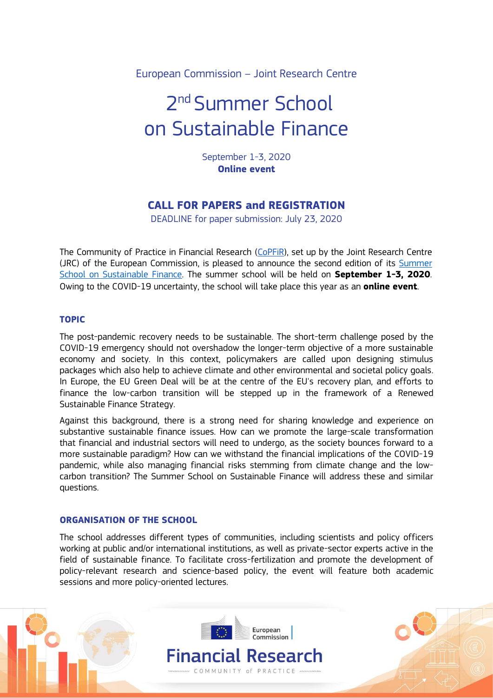European Commission – Joint Research Centre

# 2<sup>nd</sup> Summer School on Sustainable Finance

September 1-3, 2020 **Online event**

# **CALL FOR PAPERS and REGISTRATION**

DEADLINE for paper submission: July 23, 2020

The Community of Practice in Financial Research [\(CoPFiR\)](https://ec.europa.eu/jrc/communities/community/copfir), set up by the Joint Research Centre (JRC) of the European Commission, is pleased to announce the second edition of its [Summer](https://ec.europa.eu/jrc/en/event/training-course/digital-summer-school-sustainable-finance)  [School on Sustainable Finance.](https://ec.europa.eu/jrc/en/event/training-course/digital-summer-school-sustainable-finance) The summer school will be held on **September 1-3, 2020**. Owing to the COVID-19 uncertainty, the school will take place this year as an **online event**.

# **TOPIC**

The post-pandemic recovery needs to be sustainable. The short-term challenge posed by the COVID-19 emergency should not overshadow the longer-term objective of a more sustainable economy and society. In this context, policymakers are called upon designing stimulus packages which also help to achieve climate and other environmental and societal policy goals. In Europe, the EU Green Deal will be at the centre of the EU's recovery plan, and efforts to finance the low-carbon transition will be stepped up in the framework of a Renewed Sustainable Finance Strategy.

Against this background, there is a strong need for sharing knowledge and experience on substantive sustainable finance issues. How can we promote the large-scale transformation that financial and industrial sectors will need to undergo, as the society bounces forward to a more sustainable paradigm? How can we withstand the financial implications of the COVID-19 pandemic, while also managing financial risks stemming from climate change and the lowcarbon transition? The Summer School on Sustainable Finance will address these and similar questions.

# **ORGANISATION OF THE SCHOOL**

The school addresses different types of communities, including scientists and policy officers working at public and/or international institutions, as well as private-sector experts active in the field of sustainable finance. To facilitate cross-fertilization and promote the development of policy-relevant research and science-based policy, the event will feature both academic sessions and more policy-oriented lectures.

> Financial Research COMMUNITY of PRACTICE

European Commission